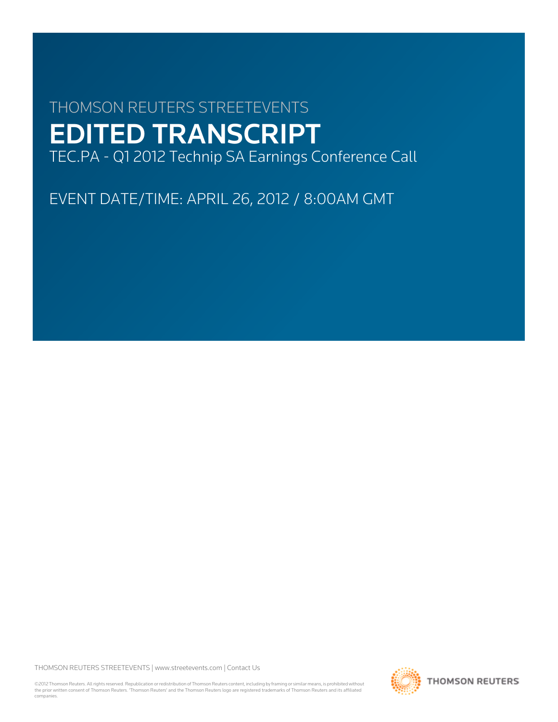# THOMSON REUTERS STREETEVENTS EDITED TRANSCRIPT TEC.PA - Q1 2012 Technip SA Earnings Conference Call

EVENT DATE/TIME: APRIL 26, 2012 / 8:00AM GMT

THOMSON REUTERS STREETEVENTS | [www.streetevents.com](http://www.streetevents.com) | [Contact Us](http://www010.streetevents.com/contact.asp)

©2012 Thomson Reuters. All rights reserved. Republication or redistribution of Thomson Reuters content, including by framing or similar means, is prohibited without the prior written consent of Thomson Reuters. 'Thomson Reuters' and the Thomson Reuters logo are registered trademarks of Thomson Reuters and its affiliated companies.

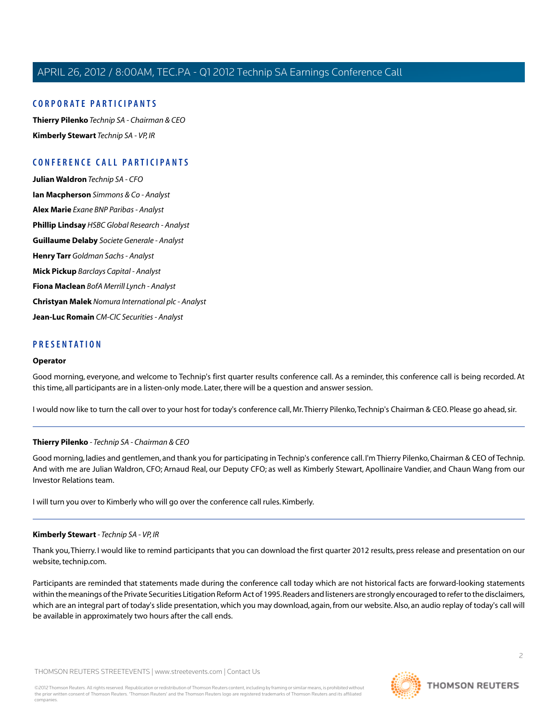# **C ORPORA TE P A R TICIP ANTS**

**[Thierry Pilenko](#page-1-0)** *Technip SA - Chairman & CEO* **[Kimberly Stewart](#page-1-1)** *Technip SA - VP, IR*

# **C ONFERENCE C ALL P A R TICIP ANTS**

**[Julian Waldron](#page-3-0)** *Technip SA - CFO* **[Ian Macpherson](#page-5-0)** *Simmons & Co - Analyst* **[Alex Marie](#page-6-0)** *Exane BNP Paribas - Analyst* **[Phillip Lindsay](#page-8-0)** *HSBC Global Research - Analyst* **[Guillaume Delaby](#page-9-0)** *Societe Generale - Analyst* **[Henry Tarr](#page-10-0)** *Goldman Sachs - Analyst* **[Mick Pickup](#page-11-0)** *Barclays Capital - Analyst* **[Fiona Maclean](#page-13-0)** *BofA Merrill Lynch - Analyst* **[Christyan Malek](#page-14-0)** *Nomura International plc - Analyst* **[Jean-Luc Romain](#page-16-0)** *CM-CIC Securities - Analyst*

# **PRESENT A TION**

#### **Operator**

Good morning, everyone, and welcome to Technip's first quarter results conference call. As a reminder, this conference call is being recorded. At this time, all participants are in a listen-only mode. Later, there will be a question and answer session.

<span id="page-1-0"></span>I would now like to turn the call over to your host for today's conference call, Mr.Thierry Pilenko,Technip's Chairman & CEO. Please go ahead, sir.

#### **Thierry Pilenko** *- Technip SA - Chairman & CEO*

Good morning, ladies and gentlemen, and thank you for participating in Technip's conference call. I'm Thierry Pilenko, Chairman & CEO of Technip. And with me are Julian Waldron, CFO; Arnaud Real, our Deputy CFO; as well as Kimberly Stewart, Apollinaire Vandier, and Chaun Wang from our Investor Relations team.

<span id="page-1-1"></span>I will turn you over to Kimberly who will go over the conference call rules. Kimberly.

#### **Kimberly Stewart** *- Technip SA - VP, IR*

Thank you,Thierry. I would like to remind participants that you can download the first quarter 2012 results, press release and presentation on our website, technip.com.

Participants are reminded that statements made during the conference call today which are not historical facts are forward-looking statements within the meanings of the Private Securities Litigation Reform Act of 1995. Readers and listeners are strongly encouraged to refer to the disclaimers, which are an integral part of today's slide presentation, which you may download, again, from our website. Also, an audio replay of today's call will be available in approximately two hours after the call ends.

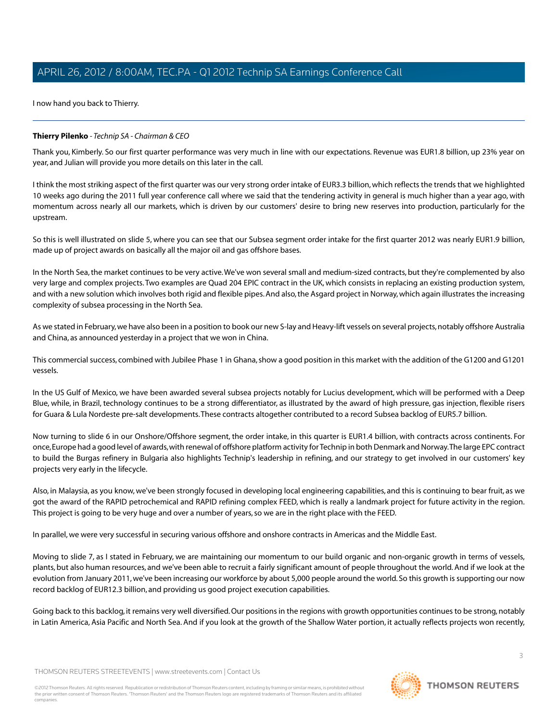I now hand you back to Thierry.

# **Thierry Pilenko** *- Technip SA - Chairman & CEO*

Thank you, Kimberly. So our first quarter performance was very much in line with our expectations. Revenue was EUR1.8 billion, up 23% year on year, and Julian will provide you more details on this later in the call.

I think the most striking aspect of the first quarter was our very strong order intake of EUR3.3 billion, which reflects the trends that we highlighted 10 weeks ago during the 2011 full year conference call where we said that the tendering activity in general is much higher than a year ago, with momentum across nearly all our markets, which is driven by our customers' desire to bring new reserves into production, particularly for the upstream.

So this is well illustrated on slide 5, where you can see that our Subsea segment order intake for the first quarter 2012 was nearly EUR1.9 billion, made up of project awards on basically all the major oil and gas offshore bases.

In the North Sea, the market continues to be very active.We've won several small and medium-sized contracts, but they're complemented by also very large and complex projects.Two examples are Quad 204 EPIC contract in the UK, which consists in replacing an existing production system, and with a new solution which involves both rigid and flexible pipes. And also, the Asgard project in Norway, which again illustrates the increasing complexity of subsea processing in the North Sea.

As we stated in February, we have also been in a position to book our new S-lay and Heavy-lift vessels on several projects, notably offshore Australia and China, as announced yesterday in a project that we won in China.

This commercial success, combined with Jubilee Phase 1 in Ghana, show a good position in this market with the addition of the G1200 and G1201 vessels.

In the US Gulf of Mexico, we have been awarded several subsea projects notably for Lucius development, which will be performed with a Deep Blue, while, in Brazil, technology continues to be a strong differentiator, as illustrated by the award of high pressure, gas injection, flexible risers for Guara & Lula Nordeste pre-salt developments.These contracts altogether contributed to a record Subsea backlog of EUR5.7 billion.

Now turning to slide 6 in our Onshore/Offshore segment, the order intake, in this quarter is EUR1.4 billion, with contracts across continents. For once, Europe had a good level of awards, with renewal of offshore platform activity for Technip in both Denmark and Norway.The large EPC contract to build the Burgas refinery in Bulgaria also highlights Technip's leadership in refining, and our strategy to get involved in our customers' key projects very early in the lifecycle.

Also, in Malaysia, as you know, we've been strongly focused in developing local engineering capabilities, and this is continuing to bear fruit, as we got the award of the RAPID petrochemical and RAPID refining complex FEED, which is really a landmark project for future activity in the region. This project is going to be very huge and over a number of years, so we are in the right place with the FEED.

In parallel, we were very successful in securing various offshore and onshore contracts in Americas and the Middle East.

Moving to slide 7, as I stated in February, we are maintaining our momentum to our build organic and non-organic growth in terms of vessels, plants, but also human resources, and we've been able to recruit a fairly significant amount of people throughout the world. And if we look at the evolution from January 2011, we've been increasing our workforce by about 5,000 people around the world. So this growth is supporting our now record backlog of EUR12.3 billion, and providing us good project execution capabilities.

Going back to this backlog, it remains very well diversified. Our positions in the regions with growth opportunities continues to be strong, notably in Latin America, Asia Pacific and North Sea. And if you look at the growth of the Shallow Water portion, it actually reflects projects won recently,

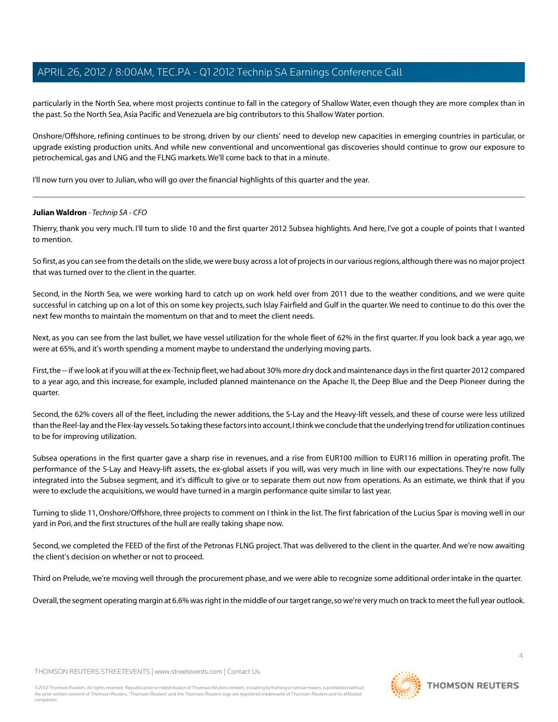particularly in the North Sea, where most projects continue to fall in the category of Shallow Water, even though they are more complex than in the past. So the North Sea, Asia Pacific and Venezuela are big contributors to this Shallow Water portion.

Onshore/Offshore, refining continues to be strong, driven by our clients' need to develop new capacities in emerging countries in particular, or upgrade existing production units. And while new conventional and unconventional gas discoveries should continue to grow our exposure to petrochemical, gas and LNG and the FLNG markets.We'll come back to that in a minute.

<span id="page-3-0"></span>I'll now turn you over to Julian, who will go over the financial highlights of this quarter and the year.

#### **Julian Waldron** *- Technip SA - CFO*

Thierry, thank you very much. I'll turn to slide 10 and the first quarter 2012 Subsea highlights. And here, I've got a couple of points that I wanted to mention.

So first, as you can see from the details on the slide, we were busy across a lot of projects in our various regions, although there was no major project that was turned over to the client in the quarter.

Second, in the North Sea, we were working hard to catch up on work held over from 2011 due to the weather conditions, and we were quite successful in catching up on a lot of this on some key projects, such Islay Fairfield and Gulf in the quarter.We need to continue to do this over the next few months to maintain the momentum on that and to meet the client needs.

Next, as you can see from the last bullet, we have vessel utilization for the whole fleet of 62% in the first quarter. If you look back a year ago, we were at 65%, and it's worth spending a moment maybe to understand the underlying moving parts.

First, the -- if we look at if you will at the ex-Technip fleet, we had about 30% more dry dock and maintenance days in the first quarter 2012 compared to a year ago, and this increase, for example, included planned maintenance on the Apache II, the Deep Blue and the Deep Pioneer during the quarter.

Second, the 62% covers all of the fleet, including the newer additions, the S-Lay and the Heavy-lift vessels, and these of course were less utilized than the Reel-lay and the Flex-lay vessels. So taking these factors into account, I think we conclude that the underlying trend for utilization continues to be for improving utilization.

Subsea operations in the first quarter gave a sharp rise in revenues, and a rise from EUR100 million to EUR116 million in operating profit. The performance of the S-Lay and Heavy-lift assets, the ex-global assets if you will, was very much in line with our expectations. They're now fully integrated into the Subsea segment, and it's difficult to give or to separate them out now from operations. As an estimate, we think that if you were to exclude the acquisitions, we would have turned in a margin performance quite similar to last year.

Turning to slide 11, Onshore/Offshore, three projects to comment on I think in the list.The first fabrication of the Lucius Spar is moving well in our yard in Pori, and the first structures of the hull are really taking shape now.

Second, we completed the FEED of the first of the Petronas FLNG project.That was delivered to the client in the quarter. And we're now awaiting the client's decision on whether or not to proceed.

Third on Prelude, we're moving well through the procurement phase, and we were able to recognize some additional order intake in the quarter.

Overall, the segment operating margin at 6.6% was right in the middle of our target range, so we're very much on track to meet the full year outlook.

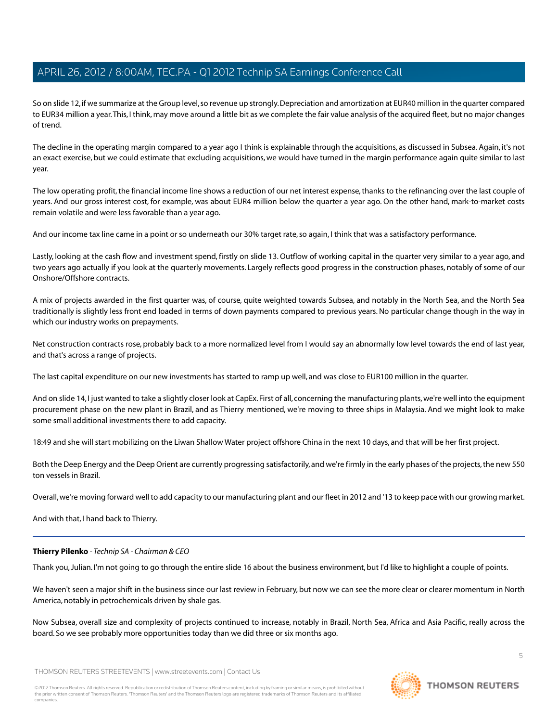So on slide 12, if we summarize at the Group level, so revenue up strongly. Depreciation and amortization at EUR40 million in the quarter compared to EUR34 million a year.This, I think, may move around a little bit as we complete the fair value analysis of the acquired fleet, but no major changes of trend.

The decline in the operating margin compared to a year ago I think is explainable through the acquisitions, as discussed in Subsea. Again, it's not an exact exercise, but we could estimate that excluding acquisitions, we would have turned in the margin performance again quite similar to last year.

The low operating profit, the financial income line shows a reduction of our net interest expense, thanks to the refinancing over the last couple of years. And our gross interest cost, for example, was about EUR4 million below the quarter a year ago. On the other hand, mark-to-market costs remain volatile and were less favorable than a year ago.

And our income tax line came in a point or so underneath our 30% target rate, so again, I think that was a satisfactory performance.

Lastly, looking at the cash flow and investment spend, firstly on slide 13. Outflow of working capital in the quarter very similar to a year ago, and two years ago actually if you look at the quarterly movements. Largely reflects good progress in the construction phases, notably of some of our Onshore/Offshore contracts.

A mix of projects awarded in the first quarter was, of course, quite weighted towards Subsea, and notably in the North Sea, and the North Sea traditionally is slightly less front end loaded in terms of down payments compared to previous years. No particular change though in the way in which our industry works on prepayments.

Net construction contracts rose, probably back to a more normalized level from I would say an abnormally low level towards the end of last year, and that's across a range of projects.

The last capital expenditure on our new investments has started to ramp up well, and was close to EUR100 million in the quarter.

And on slide 14, I just wanted to take a slightly closer look at CapEx. First of all, concerning the manufacturing plants, we're well into the equipment procurement phase on the new plant in Brazil, and as Thierry mentioned, we're moving to three ships in Malaysia. And we might look to make some small additional investments there to add capacity.

18:49 and she will start mobilizing on the Liwan Shallow Water project offshore China in the next 10 days, and that will be her first project.

Both the Deep Energy and the Deep Orient are currently progressing satisfactorily, and we're firmly in the early phases of the projects, the new 550 ton vessels in Brazil.

Overall, we're moving forward well to add capacity to our manufacturing plant and our fleet in 2012 and '13 to keep pace with our growing market.

And with that, I hand back to Thierry.

# **Thierry Pilenko** *- Technip SA - Chairman & CEO*

Thank you, Julian. I'm not going to go through the entire slide 16 about the business environment, but I'd like to highlight a couple of points.

We haven't seen a major shift in the business since our last review in February, but now we can see the more clear or clearer momentum in North America, notably in petrochemicals driven by shale gas.

Now Subsea, overall size and complexity of projects continued to increase, notably in Brazil, North Sea, Africa and Asia Pacific, really across the board. So we see probably more opportunities today than we did three or six months ago.

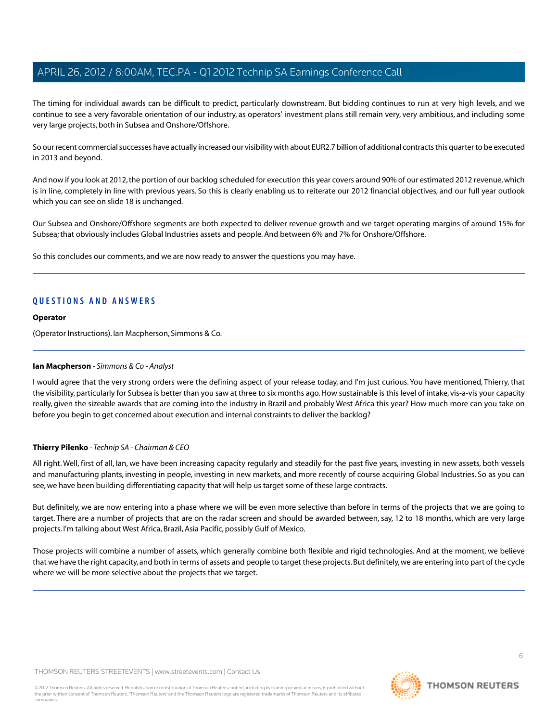The timing for individual awards can be difficult to predict, particularly downstream. But bidding continues to run at very high levels, and we continue to see a very favorable orientation of our industry, as operators' investment plans still remain very, very ambitious, and including some very large projects, both in Subsea and Onshore/Offshore.

So our recent commercial successes have actually increased our visibility with about EUR2.7 billion of additional contracts this quarter to be executed in 2013 and beyond.

And now if you look at 2012, the portion of our backlog scheduled for execution this year covers around 90% of our estimated 2012 revenue, which is in line, completely in line with previous years. So this is clearly enabling us to reiterate our 2012 financial objectives, and our full year outlook which you can see on slide 18 is unchanged.

Our Subsea and Onshore/Offshore segments are both expected to deliver revenue growth and we target operating margins of around 15% for Subsea; that obviously includes Global Industries assets and people. And between 6% and 7% for Onshore/Offshore.

So this concludes our comments, and we are now ready to answer the questions you may have.

# **QUESTIONS AND ANSWERS**

#### **Operator**

<span id="page-5-0"></span>(Operator Instructions). Ian Macpherson, Simmons & Co.

#### **Ian Macpherson** *- Simmons & Co - Analyst*

I would agree that the very strong orders were the defining aspect of your release today, and I'm just curious. You have mentioned, Thierry, that the visibility, particularly for Subsea is better than you saw at three to six months ago. How sustainable is this level of intake, vis-a-vis your capacity really, given the sizeable awards that are coming into the industry in Brazil and probably West Africa this year? How much more can you take on before you begin to get concerned about execution and internal constraints to deliver the backlog?

#### **Thierry Pilenko** *- Technip SA - Chairman & CEO*

All right. Well, first of all, Ian, we have been increasing capacity regularly and steadily for the past five years, investing in new assets, both vessels and manufacturing plants, investing in people, investing in new markets, and more recently of course acquiring Global Industries. So as you can see, we have been building differentiating capacity that will help us target some of these large contracts.

But definitely, we are now entering into a phase where we will be even more selective than before in terms of the projects that we are going to target. There are a number of projects that are on the radar screen and should be awarded between, say, 12 to 18 months, which are very large projects. I'm talking about West Africa, Brazil, Asia Pacific, possibly Gulf of Mexico.

Those projects will combine a number of assets, which generally combine both flexible and rigid technologies. And at the moment, we believe that we have the right capacity, and both in terms of assets and people to target these projects. But definitely, we are entering into part of the cycle where we will be more selective about the projects that we target.

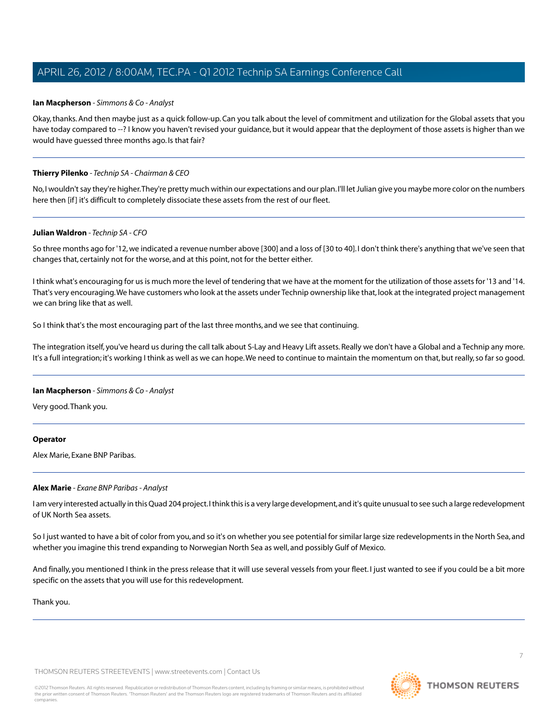#### **Ian Macpherson** *- Simmons & Co - Analyst*

Okay, thanks. And then maybe just as a quick follow-up. Can you talk about the level of commitment and utilization for the Global assets that you have today compared to --? I know you haven't revised your guidance, but it would appear that the deployment of those assets is higher than we would have guessed three months ago. Is that fair?

## **Thierry Pilenko** *- Technip SA - Chairman & CEO*

No, I wouldn't say they're higher.They're pretty much within our expectations and our plan. I'll let Julian give you maybe more color on the numbers here then [if] it's difficult to completely dissociate these assets from the rest of our fleet.

#### **Julian Waldron** *- Technip SA - CFO*

So three months ago for '12, we indicated a revenue number above [300] and a loss of [30 to 40]. I don't think there's anything that we've seen that changes that, certainly not for the worse, and at this point, not for the better either.

I think what's encouraging for us is much more the level of tendering that we have at the moment for the utilization of those assets for '13 and '14. That's very encouraging.We have customers who look at the assets under Technip ownership like that, look at the integrated project management we can bring like that as well.

So I think that's the most encouraging part of the last three months, and we see that continuing.

The integration itself, you've heard us during the call talk about S-Lay and Heavy Lift assets. Really we don't have a Global and a Technip any more. It's a full integration; it's working I think as well as we can hope.We need to continue to maintain the momentum on that, but really, so far so good.

#### **Ian Macpherson** *- Simmons & Co - Analyst*

Very good.Thank you.

#### <span id="page-6-0"></span>**Operator**

Alex Marie, Exane BNP Paribas.

#### **Alex Marie** *- Exane BNP Paribas - Analyst*

I am very interested actually in this Quad 204 project. I think this is a very large development, and it's quite unusual to see such a large redevelopment of UK North Sea assets.

So I just wanted to have a bit of color from you, and so it's on whether you see potential for similar large size redevelopments in the North Sea, and whether you imagine this trend expanding to Norwegian North Sea as well, and possibly Gulf of Mexico.

And finally, you mentioned I think in the press release that it will use several vessels from your fleet. I just wanted to see if you could be a bit more specific on the assets that you will use for this redevelopment.

Thank you.

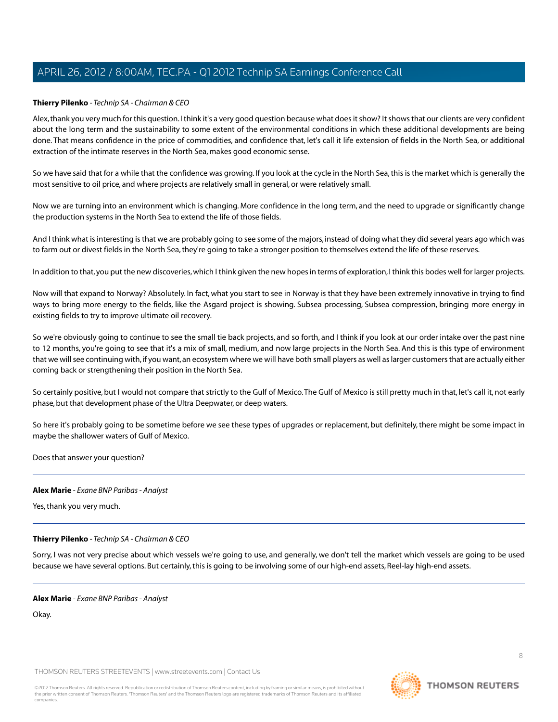# **Thierry Pilenko** *- Technip SA - Chairman & CEO*

Alex, thank you very much for this question. I think it's a very good question because what does it show? It shows that our clients are very confident about the long term and the sustainability to some extent of the environmental conditions in which these additional developments are being done. That means confidence in the price of commodities, and confidence that, let's call it life extension of fields in the North Sea, or additional extraction of the intimate reserves in the North Sea, makes good economic sense.

So we have said that for a while that the confidence was growing. If you look at the cycle in the North Sea, this is the market which is generally the most sensitive to oil price, and where projects are relatively small in general, or were relatively small.

Now we are turning into an environment which is changing. More confidence in the long term, and the need to upgrade or significantly change the production systems in the North Sea to extend the life of those fields.

And I think what is interesting is that we are probably going to see some of the majors, instead of doing what they did several years ago which was to farm out or divest fields in the North Sea, they're going to take a stronger position to themselves extend the life of these reserves.

In addition to that, you put the new discoveries, which I think given the new hopes in terms of exploration, I think this bodes well for larger projects.

Now will that expand to Norway? Absolutely. In fact, what you start to see in Norway is that they have been extremely innovative in trying to find ways to bring more energy to the fields, like the Asgard project is showing. Subsea processing, Subsea compression, bringing more energy in existing fields to try to improve ultimate oil recovery.

So we're obviously going to continue to see the small tie back projects, and so forth, and I think if you look at our order intake over the past nine to 12 months, you're going to see that it's a mix of small, medium, and now large projects in the North Sea. And this is this type of environment that we will see continuing with, if you want, an ecosystem where we will have both small players as well as larger customers that are actually either coming back or strengthening their position in the North Sea.

So certainly positive, but I would not compare that strictly to the Gulf of Mexico.The Gulf of Mexico is still pretty much in that, let's call it, not early phase, but that development phase of the Ultra Deepwater, or deep waters.

So here it's probably going to be sometime before we see these types of upgrades or replacement, but definitely, there might be some impact in maybe the shallower waters of Gulf of Mexico.

Does that answer your question?

#### **Alex Marie** *- Exane BNP Paribas - Analyst*

Yes, thank you very much.

#### **Thierry Pilenko** *- Technip SA - Chairman & CEO*

Sorry, I was not very precise about which vessels we're going to use, and generally, we don't tell the market which vessels are going to be used because we have several options. But certainly, this is going to be involving some of our high-end assets, Reel-lay high-end assets.

#### **Alex Marie** *- Exane BNP Paribas - Analyst*

Okay.

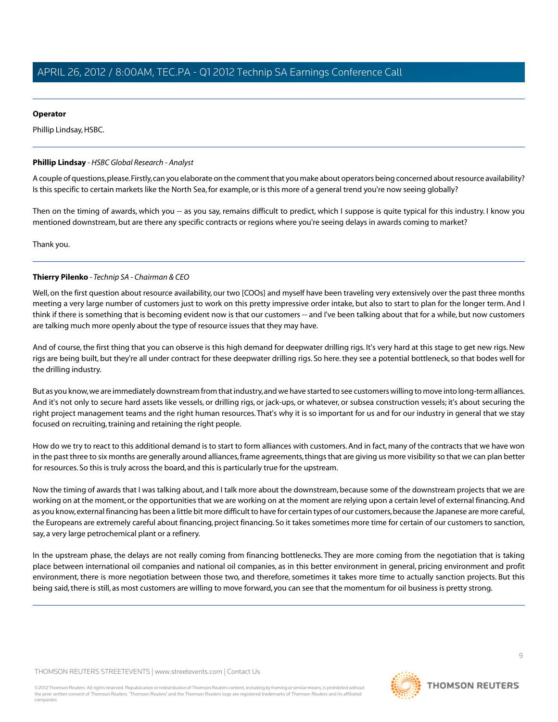# **Operator**

Phillip Lindsay, HSBC.

## <span id="page-8-0"></span>**Phillip Lindsay** *- HSBC Global Research - Analyst*

A couple of questions, please. Firstly, can you elaborate on the comment that you make about operators being concerned about resource availability? Is this specific to certain markets like the North Sea, for example, or is this more of a general trend you're now seeing globally?

Then on the timing of awards, which you -- as you say, remains difficult to predict, which I suppose is quite typical for this industry. I know you mentioned downstream, but are there any specific contracts or regions where you're seeing delays in awards coming to market?

Thank you.

# **Thierry Pilenko** *- Technip SA - Chairman & CEO*

Well, on the first question about resource availability, our two [COOs] and myself have been traveling very extensively over the past three months meeting a very large number of customers just to work on this pretty impressive order intake, but also to start to plan for the longer term. And I think if there is something that is becoming evident now is that our customers -- and I've been talking about that for a while, but now customers are talking much more openly about the type of resource issues that they may have.

And of course, the first thing that you can observe is this high demand for deepwater drilling rigs. It's very hard at this stage to get new rigs. New rigs are being built, but they're all under contract for these deepwater drilling rigs. So here. they see a potential bottleneck, so that bodes well for the drilling industry.

But as you know, we are immediately downstream from that industry, and we have started to see customers willing to move into long-term alliances. And it's not only to secure hard assets like vessels, or drilling rigs, or jack-ups, or whatever, or subsea construction vessels; it's about securing the right project management teams and the right human resources. That's why it is so important for us and for our industry in general that we stay focused on recruiting, training and retaining the right people.

How do we try to react to this additional demand is to start to form alliances with customers. And in fact, many of the contracts that we have won in the past three to six months are generally around alliances, frame agreements, things that are giving us more visibility so that we can plan better for resources. So this is truly across the board, and this is particularly true for the upstream.

Now the timing of awards that I was talking about, and I talk more about the downstream, because some of the downstream projects that we are working on at the moment, or the opportunities that we are working on at the moment are relying upon a certain level of external financing. And as you know, external financing has been a little bit more difficult to have for certain types of our customers, because the Japanese are more careful, the Europeans are extremely careful about financing, project financing. So it takes sometimes more time for certain of our customers to sanction, say, a very large petrochemical plant or a refinery.

In the upstream phase, the delays are not really coming from financing bottlenecks. They are more coming from the negotiation that is taking place between international oil companies and national oil companies, as in this better environment in general, pricing environment and profit environment, there is more negotiation between those two, and therefore, sometimes it takes more time to actually sanction projects. But this being said, there is still, as most customers are willing to move forward, you can see that the momentum for oil business is pretty strong.

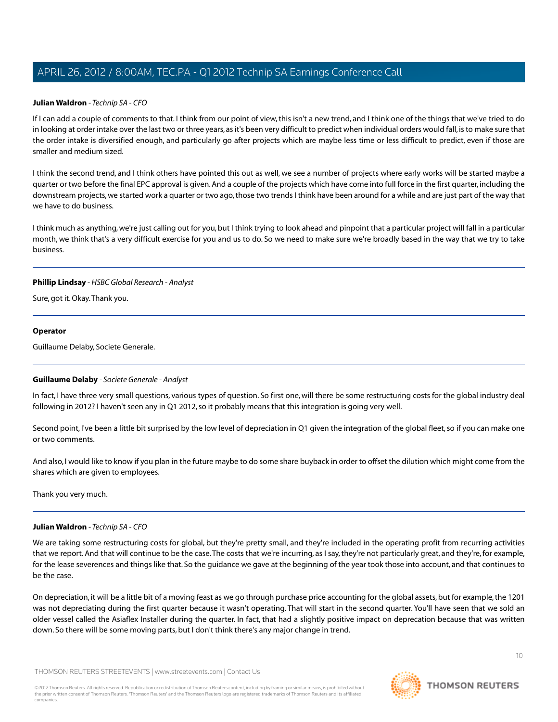#### **Julian Waldron** *- Technip SA - CFO*

If I can add a couple of comments to that. I think from our point of view, this isn't a new trend, and I think one of the things that we've tried to do in looking at order intake over the last two or three years, as it's been very difficult to predict when individual orders would fall, is to make sure that the order intake is diversified enough, and particularly go after projects which are maybe less time or less difficult to predict, even if those are smaller and medium sized.

I think the second trend, and I think others have pointed this out as well, we see a number of projects where early works will be started maybe a quarter or two before the final EPC approval is given. And a couple of the projects which have come into full force in the first quarter, including the downstream projects, we started work a quarter or two ago, those two trends I think have been around for a while and are just part of the way that we have to do business.

I think much as anything, we're just calling out for you, but I think trying to look ahead and pinpoint that a particular project will fall in a particular month, we think that's a very difficult exercise for you and us to do. So we need to make sure we're broadly based in the way that we try to take business.

#### **Phillip Lindsay** *- HSBC Global Research - Analyst*

Sure, got it. Okay.Thank you.

#### **Operator**

<span id="page-9-0"></span>Guillaume Delaby, Societe Generale.

#### **Guillaume Delaby** *- Societe Generale - Analyst*

In fact, I have three very small questions, various types of question. So first one, will there be some restructuring costs for the global industry deal following in 2012? I haven't seen any in Q1 2012, so it probably means that this integration is going very well.

Second point, I've been a little bit surprised by the low level of depreciation in Q1 given the integration of the global fleet, so if you can make one or two comments.

And also, I would like to know if you plan in the future maybe to do some share buyback in order to offset the dilution which might come from the shares which are given to employees.

Thank you very much.

#### **Julian Waldron** *- Technip SA - CFO*

We are taking some restructuring costs for global, but they're pretty small, and they're included in the operating profit from recurring activities that we report. And that will continue to be the case.The costs that we're incurring, as I say, they're not particularly great, and they're, for example, for the lease severences and things like that. So the guidance we gave at the beginning of the year took those into account, and that continues to be the case.

On depreciation, it will be a little bit of a moving feast as we go through purchase price accounting for the global assets, but for example, the 1201 was not depreciating during the first quarter because it wasn't operating. That will start in the second quarter. You'll have seen that we sold an older vessel called the Asiaflex Installer during the quarter. In fact, that had a slightly positive impact on deprecation because that was written down. So there will be some moving parts, but I don't think there's any major change in trend.

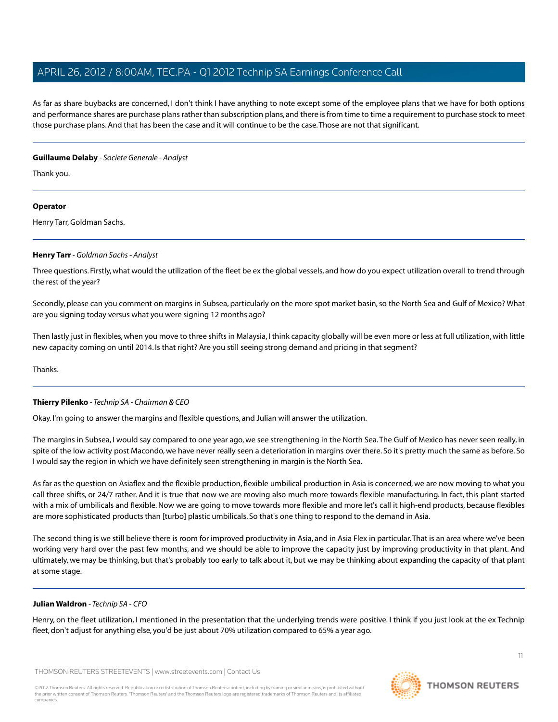As far as share buybacks are concerned, I don't think I have anything to note except some of the employee plans that we have for both options and performance shares are purchase plans rather than subscription plans, and there is from time to time a requirement to purchase stock to meet those purchase plans. And that has been the case and it will continue to be the case.Those are not that significant.

## **Guillaume Delaby** *- Societe Generale - Analyst*

Thank you.

# **Operator**

<span id="page-10-0"></span>Henry Tarr, Goldman Sachs.

#### **Henry Tarr** *- Goldman Sachs - Analyst*

Three questions. Firstly, what would the utilization of the fleet be ex the global vessels, and how do you expect utilization overall to trend through the rest of the year?

Secondly, please can you comment on margins in Subsea, particularly on the more spot market basin, so the North Sea and Gulf of Mexico? What are you signing today versus what you were signing 12 months ago?

Then lastly just in flexibles, when you move to three shifts in Malaysia, I think capacity globally will be even more or less at full utilization, with little new capacity coming on until 2014. Is that right? Are you still seeing strong demand and pricing in that segment?

**Thanks** 

# **Thierry Pilenko** *- Technip SA - Chairman & CEO*

Okay. I'm going to answer the margins and flexible questions, and Julian will answer the utilization.

The margins in Subsea, I would say compared to one year ago, we see strengthening in the North Sea.The Gulf of Mexico has never seen really, in spite of the low activity post Macondo, we have never really seen a deterioration in margins over there. So it's pretty much the same as before. So I would say the region in which we have definitely seen strengthening in margin is the North Sea.

As far as the question on Asiaflex and the flexible production, flexible umbilical production in Asia is concerned, we are now moving to what you call three shifts, or 24/7 rather. And it is true that now we are moving also much more towards flexible manufacturing. In fact, this plant started with a mix of umbilicals and flexible. Now we are going to move towards more flexible and more let's call it high-end products, because flexibles are more sophisticated products than [turbo] plastic umbilicals. So that's one thing to respond to the demand in Asia.

The second thing is we still believe there is room for improved productivity in Asia, and in Asia Flex in particular.That is an area where we've been working very hard over the past few months, and we should be able to improve the capacity just by improving productivity in that plant. And ultimately, we may be thinking, but that's probably too early to talk about it, but we may be thinking about expanding the capacity of that plant at some stage.

# **Julian Waldron** *- Technip SA - CFO*

Henry, on the fleet utilization, I mentioned in the presentation that the underlying trends were positive. I think if you just look at the ex Technip fleet, don't adjust for anything else, you'd be just about 70% utilization compared to 65% a year ago.

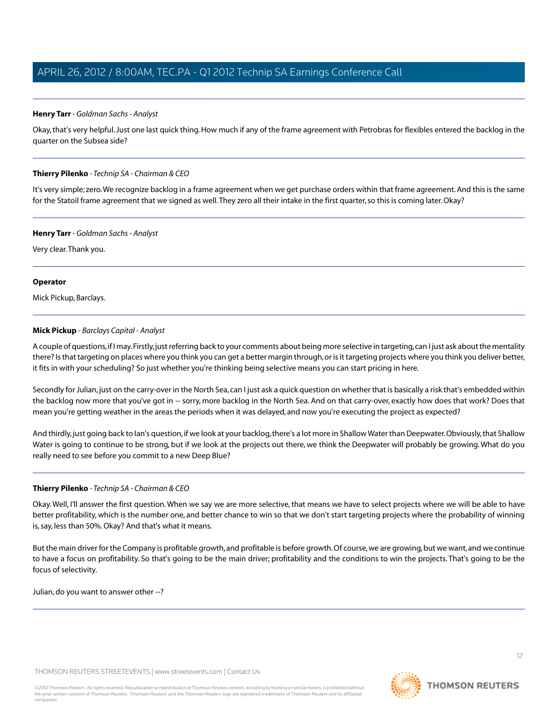# **Henry Tarr** *- Goldman Sachs - Analyst*

Okay, that's very helpful. Just one last quick thing. How much if any of the frame agreement with Petrobras for flexibles entered the backlog in the quarter on the Subsea side?

#### **Thierry Pilenko** *- Technip SA - Chairman & CEO*

It's very simple; zero.We recognize backlog in a frame agreement when we get purchase orders within that frame agreement. And this is the same for the Statoil frame agreement that we signed as well. They zero all their intake in the first quarter, so this is coming later. Okay?

#### **Henry Tarr** *- Goldman Sachs - Analyst*

Very clear.Thank you.

#### **Operator**

<span id="page-11-0"></span>Mick Pickup, Barclays.

#### **Mick Pickup** *- Barclays Capital - Analyst*

A couple of questions, if I may. Firstly, just referring back to your comments about being more selective in targeting, can I just ask about the mentality there? Is that targeting on places where you think you can get a better margin through, or is it targeting projects where you think you deliver better, it fits in with your scheduling? So just whether you're thinking being selective means you can start pricing in here.

Secondly for Julian, just on the carry-over in the North Sea, can I just ask a quick question on whether that is basically a risk that's embedded within the backlog now more that you've got in -- sorry, more backlog in the North Sea. And on that carry-over, exactly how does that work? Does that mean you're getting weather in the areas the periods when it was delayed, and now you're executing the project as expected?

And thirdly, just going back to Ian's question, if we look at your backlog, there's a lot more in Shallow Water than Deepwater. Obviously, that Shallow Water is going to continue to be strong, but if we look at the projects out there, we think the Deepwater will probably be growing. What do you really need to see before you commit to a new Deep Blue?

# **Thierry Pilenko** *- Technip SA - Chairman & CEO*

Okay.Well, I'll answer the first question.When we say we are more selective, that means we have to select projects where we will be able to have better profitability, which is the number one, and better chance to win so that we don't start targeting projects where the probability of winning is, say, less than 50%. Okay? And that's what it means.

But the main driver for the Company is profitable growth, and profitable is before growth. Of course, we are growing, but we want, and we continue to have a focus on profitability. So that's going to be the main driver; profitability and the conditions to win the projects. That's going to be the focus of selectivity.

Julian, do you want to answer other --?

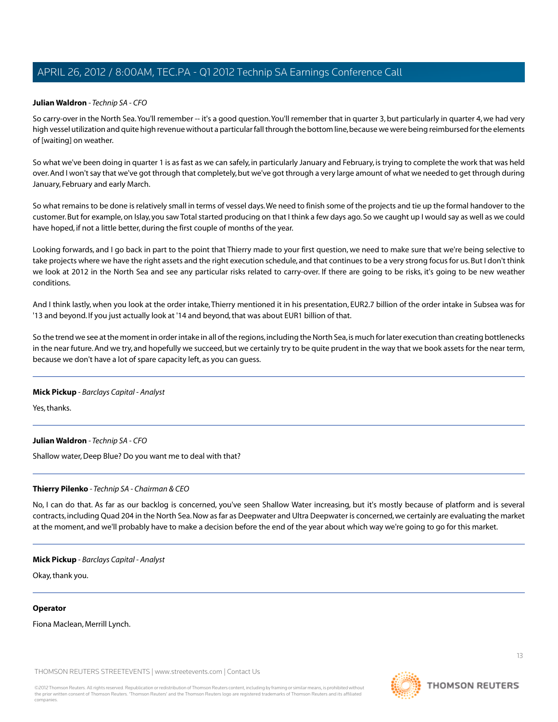# **Julian Waldron** *- Technip SA - CFO*

So carry-over in the North Sea.You'll remember -- it's a good question.You'll remember that in quarter 3, but particularly in quarter 4, we had very high vessel utilization and quite high revenue without a particular fall through the bottom line, because we were being reimbursed for the elements of [waiting] on weather.

So what we've been doing in quarter 1 is as fast as we can safely, in particularly January and February, is trying to complete the work that was held over. And I won't say that we've got through that completely, but we've got through a very large amount of what we needed to get through during January, February and early March.

So what remains to be done is relatively small in terms of vessel days.We need to finish some of the projects and tie up the formal handover to the customer. But for example, on Islay, you saw Total started producing on that I think a few days ago. So we caught up I would say as well as we could have hoped, if not a little better, during the first couple of months of the year.

Looking forwards, and I go back in part to the point that Thierry made to your first question, we need to make sure that we're being selective to take projects where we have the right assets and the right execution schedule, and that continues to be a very strong focus for us. But I don't think we look at 2012 in the North Sea and see any particular risks related to carry-over. If there are going to be risks, it's going to be new weather conditions.

And I think lastly, when you look at the order intake, Thierry mentioned it in his presentation, EUR2.7 billion of the order intake in Subsea was for '13 and beyond. If you just actually look at '14 and beyond, that was about EUR1 billion of that.

So the trend we see at the moment in order intake in all of the regions, including the North Sea, is much for later execution than creating bottlenecks in the near future. And we try, and hopefully we succeed, but we certainly try to be quite prudent in the way that we book assets for the near term, because we don't have a lot of spare capacity left, as you can guess.

#### **Mick Pickup** *- Barclays Capital - Analyst*

Yes, thanks.

#### **Julian Waldron** *- Technip SA - CFO*

Shallow water, Deep Blue? Do you want me to deal with that?

# **Thierry Pilenko** *- Technip SA - Chairman & CEO*

No, I can do that. As far as our backlog is concerned, you've seen Shallow Water increasing, but it's mostly because of platform and is several contracts, including Quad 204 in the North Sea. Now as far as Deepwater and Ultra Deepwater is concerned, we certainly are evaluating the market at the moment, and we'll probably have to make a decision before the end of the year about which way we're going to go for this market.

#### **Mick Pickup** *- Barclays Capital - Analyst*

Okay, thank you.

#### **Operator**

Fiona Maclean, Merrill Lynch.

THOMSON REUTERS STREETEVENTS | [www.streetevents.com](http://www.streetevents.com) | [Contact Us](http://www010.streetevents.com/contact.asp)

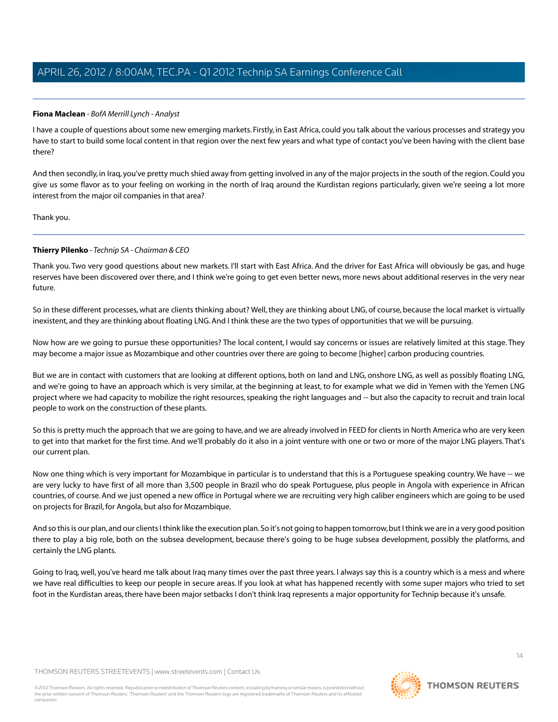## <span id="page-13-0"></span>**Fiona Maclean** *- BofA Merrill Lynch - Analyst*

I have a couple of questions about some new emerging markets. Firstly, in East Africa, could you talk about the various processes and strategy you have to start to build some local content in that region over the next few years and what type of contact you've been having with the client base there?

And then secondly, in Iraq, you've pretty much shied away from getting involved in any of the major projects in the south of the region. Could you give us some flavor as to your feeling on working in the north of Iraq around the Kurdistan regions particularly, given we're seeing a lot more interest from the major oil companies in that area?

Thank you.

#### **Thierry Pilenko** *- Technip SA - Chairman & CEO*

Thank you. Two very good questions about new markets. I'll start with East Africa. And the driver for East Africa will obviously be gas, and huge reserves have been discovered over there, and I think we're going to get even better news, more news about additional reserves in the very near future.

So in these different processes, what are clients thinking about? Well, they are thinking about LNG, of course, because the local market is virtually inexistent, and they are thinking about floating LNG. And I think these are the two types of opportunities that we will be pursuing.

Now how are we going to pursue these opportunities? The local content, I would say concerns or issues are relatively limited at this stage. They may become a major issue as Mozambique and other countries over there are going to become [higher] carbon producing countries.

But we are in contact with customers that are looking at different options, both on land and LNG, onshore LNG, as well as possibly floating LNG, and we're going to have an approach which is very similar, at the beginning at least, to for example what we did in Yemen with the Yemen LNG project where we had capacity to mobilize the right resources, speaking the right languages and -- but also the capacity to recruit and train local people to work on the construction of these plants.

So this is pretty much the approach that we are going to have, and we are already involved in FEED for clients in North America who are very keen to get into that market for the first time. And we'll probably do it also in a joint venture with one or two or more of the major LNG players. That's our current plan.

Now one thing which is very important for Mozambique in particular is to understand that this is a Portuguese speaking country.We have -- we are very lucky to have first of all more than 3,500 people in Brazil who do speak Portuguese, plus people in Angola with experience in African countries, of course. And we just opened a new office in Portugal where we are recruiting very high caliber engineers which are going to be used on projects for Brazil, for Angola, but also for Mozambique.

And so this is our plan, and our clients I think like the execution plan. So it's not going to happen tomorrow, but I think we are in a very good position there to play a big role, both on the subsea development, because there's going to be huge subsea development, possibly the platforms, and certainly the LNG plants.

Going to Iraq, well, you've heard me talk about Iraq many times over the past three years. I always say this is a country which is a mess and where we have real difficulties to keep our people in secure areas. If you look at what has happened recently with some super majors who tried to set foot in the Kurdistan areas, there have been major setbacks I don't think Iraq represents a major opportunity for Technip because it's unsafe.

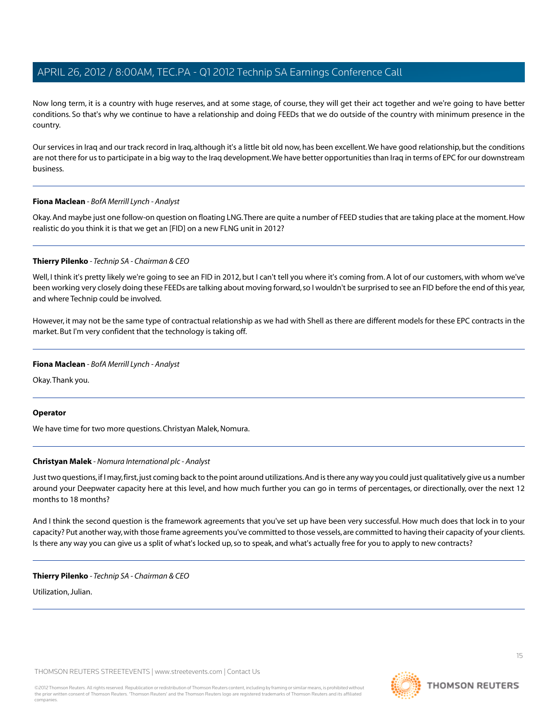Now long term, it is a country with huge reserves, and at some stage, of course, they will get their act together and we're going to have better conditions. So that's why we continue to have a relationship and doing FEEDs that we do outside of the country with minimum presence in the country.

Our services in Iraq and our track record in Iraq, although it's a little bit old now, has been excellent.We have good relationship, but the conditions are not there for us to participate in a big way to the Iraq development. We have better opportunities than Iraq in terms of EPC for our downstream business.

# **Fiona Maclean** *- BofA Merrill Lynch - Analyst*

Okay. And maybe just one follow-on question on floating LNG.There are quite a number of FEED studies that are taking place at the moment. How realistic do you think it is that we get an [FID] on a new FLNG unit in 2012?

#### **Thierry Pilenko** *- Technip SA - Chairman & CEO*

Well, I think it's pretty likely we're going to see an FID in 2012, but I can't tell you where it's coming from. A lot of our customers, with whom we've been working very closely doing these FEEDs are talking about moving forward, so I wouldn't be surprised to see an FID before the end of this year, and where Technip could be involved.

However, it may not be the same type of contractual relationship as we had with Shell as there are different models for these EPC contracts in the market. But I'm very confident that the technology is taking off.

## **Fiona Maclean** *- BofA Merrill Lynch - Analyst*

Okay.Thank you.

#### <span id="page-14-0"></span>**Operator**

We have time for two more questions. Christyan Malek, Nomura.

# **Christyan Malek** *- Nomura International plc - Analyst*

Just two questions, if I may, first, just coming back to the point around utilizations. And is there any way you could just qualitatively give us a number around your Deepwater capacity here at this level, and how much further you can go in terms of percentages, or directionally, over the next 12 months to 18 months?

And I think the second question is the framework agreements that you've set up have been very successful. How much does that lock in to your capacity? Put another way, with those frame agreements you've committed to those vessels, are committed to having their capacity of your clients. Is there any way you can give us a split of what's locked up, so to speak, and what's actually free for you to apply to new contracts?

**Thierry Pilenko** *- Technip SA - Chairman & CEO*

Utilization, Julian.

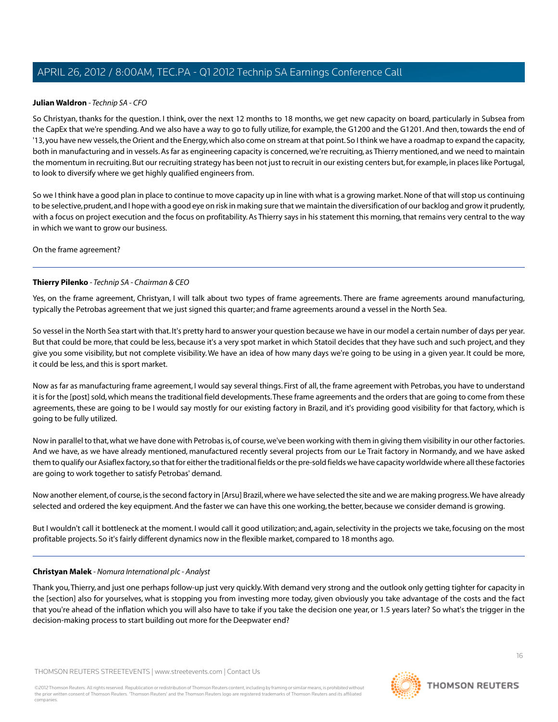## **Julian Waldron** *- Technip SA - CFO*

So Christyan, thanks for the question. I think, over the next 12 months to 18 months, we get new capacity on board, particularly in Subsea from the CapEx that we're spending. And we also have a way to go to fully utilize, for example, the G1200 and the G1201. And then, towards the end of '13, you have new vessels, the Orient and the Energy, which also come on stream at that point. So I think we have a roadmap to expand the capacity, both in manufacturing and in vessels. As far as engineering capacity is concerned, we're recruiting, as Thierry mentioned, and we need to maintain the momentum in recruiting. But our recruiting strategy has been not just to recruit in our existing centers but, for example, in places like Portugal, to look to diversify where we get highly qualified engineers from.

So we I think have a good plan in place to continue to move capacity up in line with what is a growing market. None of that will stop us continuing to be selective, prudent, and I hope with a good eye on risk in making sure that we maintain the diversification of our backlog and grow it prudently, with a focus on project execution and the focus on profitability. As Thierry says in his statement this morning, that remains very central to the way in which we want to grow our business.

On the frame agreement?

#### **Thierry Pilenko** *- Technip SA - Chairman & CEO*

Yes, on the frame agreement, Christyan, I will talk about two types of frame agreements. There are frame agreements around manufacturing, typically the Petrobas agreement that we just signed this quarter; and frame agreements around a vessel in the North Sea.

So vessel in the North Sea start with that. It's pretty hard to answer your question because we have in our model a certain number of days per year. But that could be more, that could be less, because it's a very spot market in which Statoil decides that they have such and such project, and they give you some visibility, but not complete visibility.We have an idea of how many days we're going to be using in a given year. It could be more, it could be less, and this is sport market.

Now as far as manufacturing frame agreement, I would say several things. First of all, the frame agreement with Petrobas, you have to understand it is for the [post] sold, which means the traditional field developments.These frame agreements and the orders that are going to come from these agreements, these are going to be I would say mostly for our existing factory in Brazil, and it's providing good visibility for that factory, which is going to be fully utilized.

Now in parallel to that, what we have done with Petrobas is, of course, we've been working with them in giving them visibility in our other factories. And we have, as we have already mentioned, manufactured recently several projects from our Le Trait factory in Normandy, and we have asked them to qualify our Asiaflex factory, so that for either the traditional fields or the pre-sold fields we have capacity worldwide where all these factories are going to work together to satisfy Petrobas' demand.

Now another element, of course, is the second factory in [Arsu] Brazil, where we have selected the site and we are making progress.We have already selected and ordered the key equipment. And the faster we can have this one working, the better, because we consider demand is growing.

But I wouldn't call it bottleneck at the moment. I would call it good utilization; and, again, selectivity in the projects we take, focusing on the most profitable projects. So it's fairly different dynamics now in the flexible market, compared to 18 months ago.

#### **Christyan Malek** *- Nomura International plc - Analyst*

Thank you,Thierry, and just one perhaps follow-up just very quickly.With demand very strong and the outlook only getting tighter for capacity in the [section] also for yourselves, what is stopping you from investing more today, given obviously you take advantage of the costs and the fact that you're ahead of the inflation which you will also have to take if you take the decision one year, or 1.5 years later? So what's the trigger in the decision-making process to start building out more for the Deepwater end?

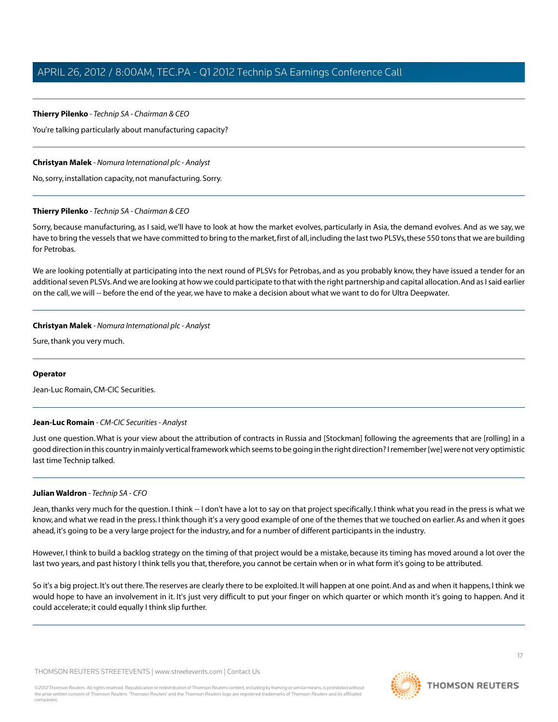# **Thierry Pilenko** *- Technip SA - Chairman & CEO*

You're talking particularly about manufacturing capacity?

# **Christyan Malek** *- Nomura International plc - Analyst*

No, sorry, installation capacity, not manufacturing. Sorry.

# **Thierry Pilenko** *- Technip SA - Chairman & CEO*

Sorry, because manufacturing, as I said, we'll have to look at how the market evolves, particularly in Asia, the demand evolves. And as we say, we have to bring the vessels that we have committed to bring to the market, first of all, including the last two PLSVs, these 550 tons that we are building for Petrobas.

We are looking potentially at participating into the next round of PLSVs for Petrobas, and as you probably know, they have issued a tender for an additional seven PLSVs. And we are looking at how we could participate to that with the right partnership and capital allocation. And as I said earlier on the call, we will -- before the end of the year, we have to make a decision about what we want to do for Ultra Deepwater.

# **Christyan Malek** *- Nomura International plc - Analyst*

Sure, thank you very much.

# <span id="page-16-0"></span>**Operator**

Jean-Luc Romain, CM-CIC Securities.

# **Jean-Luc Romain** *- CM-CIC Securities - Analyst*

Just one question.What is your view about the attribution of contracts in Russia and [Stockman] following the agreements that are [rolling] in a good direction in this country in mainly vertical framework which seems to be going in the right direction? I remember [we] were not very optimistic last time Technip talked.

# **Julian Waldron** *- Technip SA - CFO*

Jean, thanks very much for the question. I think -- I don't have a lot to say on that project specifically. I think what you read in the press is what we know, and what we read in the press. I think though it's a very good example of one of the themes that we touched on earlier. As and when it goes ahead, it's going to be a very large project for the industry, and for a number of different participants in the industry.

However, I think to build a backlog strategy on the timing of that project would be a mistake, because its timing has moved around a lot over the last two years, and past history I think tells you that, therefore, you cannot be certain when or in what form it's going to be attributed.

So it's a big project. It's out there.The reserves are clearly there to be exploited. It will happen at one point. And as and when it happens, I think we would hope to have an involvement in it. It's just very difficult to put your finger on which quarter or which month it's going to happen. And it could accelerate; it could equally I think slip further.